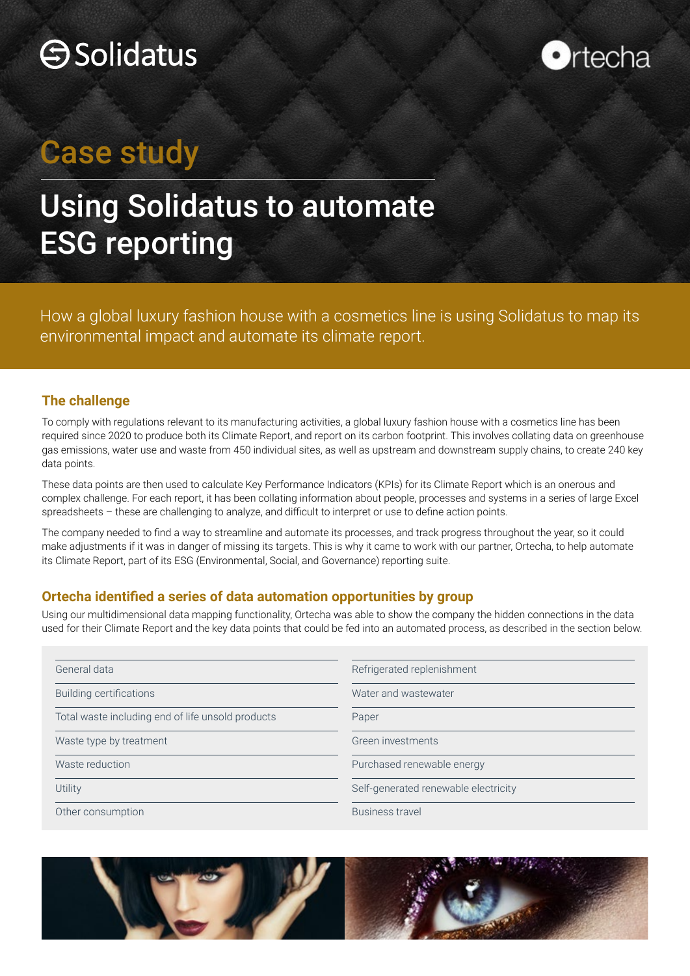



## Case study

## Using Solidatus to automate ESG reporting

How a global luxury fashion house with a cosmetics line is using Solidatus to map its environmental impact and automate its climate report.

### **The challenge**

To comply with regulations relevant to its manufacturing activities, a global luxury fashion house with a cosmetics line has been required since 2020 to produce both its Climate Report, and report on its carbon footprint. This involves collating data on greenhouse gas emissions, water use and waste from 450 individual sites, as well as upstream and downstream supply chains, to create 240 key data points.

These data points are then used to calculate Key Performance Indicators (KPIs) for its Climate Report which is an onerous and complex challenge. For each report, it has been collating information about people, processes and systems in a series of large Excel spreadsheets – these are challenging to analyze, and difficult to interpret or use to define action points.

The company needed to find a way to streamline and automate its processes, and track progress throughout the year, so it could make adjustments if it was in danger of missing its targets. This is why it came to work with our partner, Ortecha, to help automate its Climate Report, part of its ESG (Environmental, Social, and Governance) reporting suite.

### **Ortecha identified a series of data automation opportunities by group**

Using our multidimensional data mapping functionality, Ortecha was able to show the company the hidden connections in the data used for their Climate Report and the key data points that could be fed into an automated process, as described in the section below.

| General data                                      | Refrigerated replenishment           |
|---------------------------------------------------|--------------------------------------|
| <b>Building certifications</b>                    | Water and wastewater                 |
| Total waste including end of life unsold products | Paper                                |
| Waste type by treatment                           | Green investments                    |
| Waste reduction                                   | Purchased renewable energy           |
| Utility                                           | Self-generated renewable electricity |
| Other consumption                                 | Business travel                      |

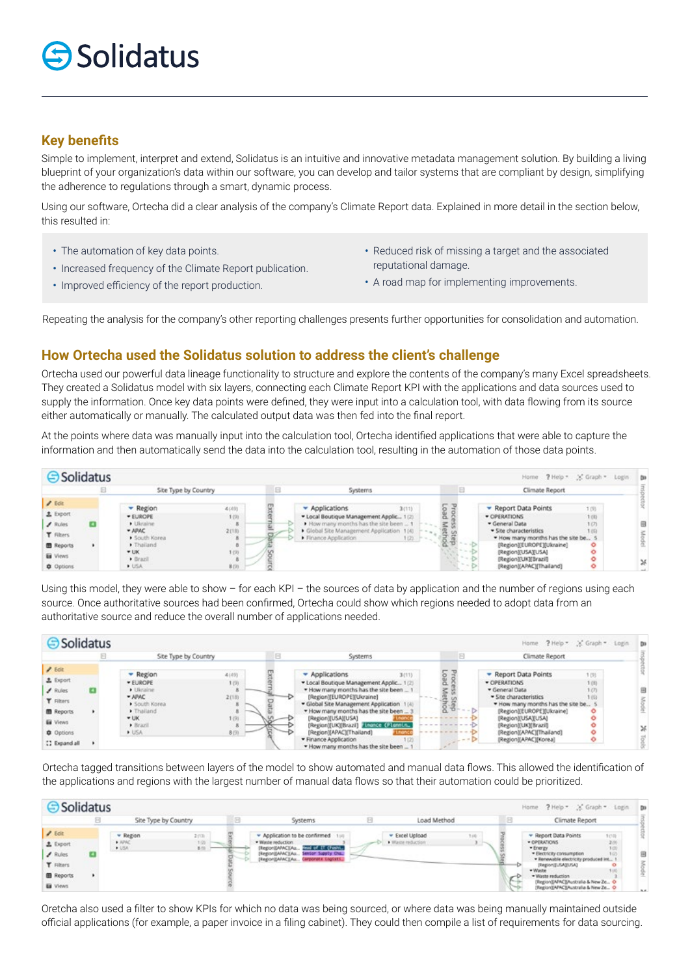# $\bigcirc$  Solidatus

### **Key benefits**

Simple to implement, interpret and extend, Solidatus is an intuitive and innovative metadata management solution. By building a living blueprint of your organization's data within our software, you can develop and tailor systems that are compliant by design, simplifying the adherence to regulations through a smart, dynamic process.

Using our software, Ortecha did a clear analysis of the company's Climate Report data. Explained in more detail in the section below, this resulted in:

- The automation of key data points.
- Increased frequency of the Climate Report publication.
- Improved efficiency of the report production.
- Reduced risk of missing a target and the associated reputational damage.
- A road map for implementing improvements.

Repeating the analysis for the company's other reporting challenges presents further opportunities for consolidation and automation.

### **How Ortecha used the Solidatus solution to address the client's challenge**

Ortecha used our powerful data lineage functionality to structure and explore the contents of the company's many Excel spreadsheets. They created a Solidatus model with six layers, connecting each Climate Report KPI with the applications and data sources used to supply the information. Once key data points were defined, they were input into a calculation tool, with data flowing from its source either automatically or manually. The calculated output data was then fed into the final report.

At the points where data was manually input into the calculation tool, Ortecha identified applications that were able to capture the information and then automatically send the data into the calculation tool, resulting in the automation of those data points.



Using this model, they were able to show – for each KPI – the sources of data by application and the number of regions using each source. Once authoritative sources had been confirmed, Ortecha could show which regions needed to adopt data from an authoritative source and reduce the overall number of applications needed.

|                    | Site Type by Country    |       | Systems                                                                     |                  | Climate Report                                              |              |  |
|--------------------|-------------------------|-------|-----------------------------------------------------------------------------|------------------|-------------------------------------------------------------|--------------|--|
| $2.5$ ck           |                         | 4(49) |                                                                             |                  | Report Data Points                                          |              |  |
| <b>主</b> Export    | - Region<br>· EUROPE    | 1(9)  | Applications<br>3(11)<br>· Local Boutique Management Applic 1(2)            | peo <sup>-</sup> | · OPERATIONS                                                | 1(9)<br>1(8) |  |
| $\angle$ Rules     | · Ukraine               |       | . How many months has the site been                                         |                  | · General Data                                              | 1(7)         |  |
| <b>T</b> Filters   | $= APAC$<br>South Korea | 2(18) | [Region][EUROPE][Ukraine]<br>· Global Site Management Application 1(4)      |                  | · Site characteristics<br>. How many months has the site be | 1 (6)        |  |
| <b>III</b> Reports | > Thailand              |       | . How many months has the site been                                         |                  | [Region][EUROPE][Ukraine]                                   |              |  |
| <b>Ed</b> Views    | $+ UK$                  | 1 (9) | [Region][USA][USA]                                                          |                  | [Region][USA][USA]                                          |              |  |
| <b>C</b> Options   | · Brazil<br>» USA       | 8(9)  | [Region][UK][Brazil] Honce (Flonnin.)<br>[Region](APAC)[Thailand]<br>Financ |                  | [Region][UK][Brazil]<br>[Region][APAC][Thailand]            |              |  |
| [] Expand all      |                         |       | · Finance Application<br>. How many months has the site been                |                  | [Region][APAC][Korea]                                       |              |  |

Ortecha tagged transitions between layers of the model to show automated and manual data flows. This allowed the identification of the applications and regions with the largest number of manual data flows so that their automation could be prioritized.

| <b>Solidatus</b>                                     |                      |                                                              |         |                                                                                                                                                                                    |                                                    |                | Home ? Help * * Graph * Login Da                                                                                                                      |  |
|------------------------------------------------------|----------------------|--------------------------------------------------------------|---------|------------------------------------------------------------------------------------------------------------------------------------------------------------------------------------|----------------------------------------------------|----------------|-------------------------------------------------------------------------------------------------------------------------------------------------------|--|
|                                                      | Site Type by Country |                                                              | Systems |                                                                                                                                                                                    | Load Method                                        | Climate Report |                                                                                                                                                       |  |
| $I$ Eck<br><b>主</b> Export<br>$I$ Rules<br>T Filters |                      | - Region<br>2400<br>$+ 1010$<br>1.95<br>$+058^\circ$<br>8.00 | $\sim$  | Application to be confirmed 199<br>* Waste reduction.<br>lead of IT (hashi<br>[Report[APAC][Au<br>Sentor Supply Ons.,<br>[Region@APAC][Au<br>[Report(APAC)[Au Carporate Englists]] | - Excel Upload<br><b>Ball</b><br>· Waste reduction |                | - Report Data Points<br>10.01<br>· OPERATIONS<br>* Energy<br>· Electricity consumption<br>· Renewable electricity produced int<br>(Region)[LISA][USA] |  |
| <b>B</b> Reports<br><b>Ed</b> Views                  |                      |                                                              |         |                                                                                                                                                                                    |                                                    |                | · Waste<br>. Waste reduction<br>Region(EAFAC)(Australia & New Ze<br>(Region)[APAC][Australia & New Ze., O                                             |  |

Oretcha also used a filter to show KPIs for which no data was being sourced, or where data was being manually maintained outside official applications (for example, a paper invoice in a filing cabinet). They could then compile a list of requirements for data sourcing.